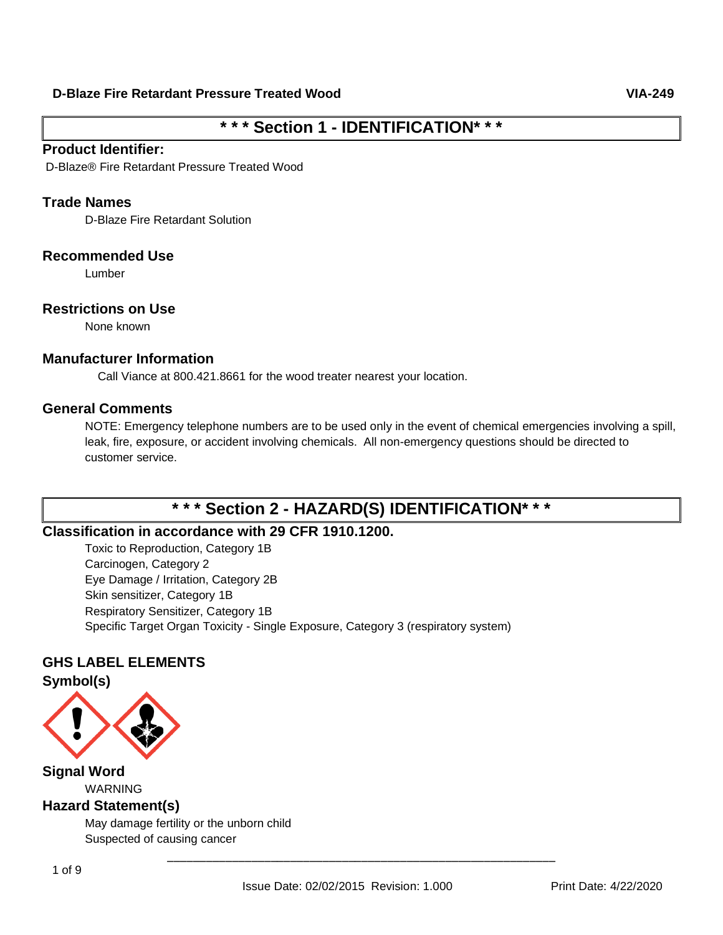# **\* \* \* Section 1 - IDENTIFICATION\* \* \***

## **Product Identifier:**

D-Blaze® Fire Retardant Pressure Treated Wood

## **Trade Names**

D-Blaze Fire Retardant Solution

### **Recommended Use**

Lumber

### **Restrictions on Use**

None known

## **Manufacturer Information**

Call Viance at 800.421.8661 for the wood treater nearest your location.

## **General Comments**

NOTE: Emergency telephone numbers are to be used only in the event of chemical emergencies involving a spill, leak, fire, exposure, or accident involving chemicals. All non-emergency questions should be directed to customer service.

# **\* \* \* Section 2 - HAZARD(S) IDENTIFICATION\* \* \***

## **Classification in accordance with 29 CFR 1910.1200.**

Toxic to Reproduction, Category 1B Carcinogen, Category 2 Eye Damage / Irritation, Category 2B Skin sensitizer, Category 1B Respiratory Sensitizer, Category 1B Specific Target Organ Toxicity - Single Exposure, Category 3 (respiratory system)

## **GHS LABEL ELEMENTS**

**Symbol(s)**



**Signal Word** WARNING **Hazard Statement(s)**

> May damage fertility or the unborn child Suspected of causing cancer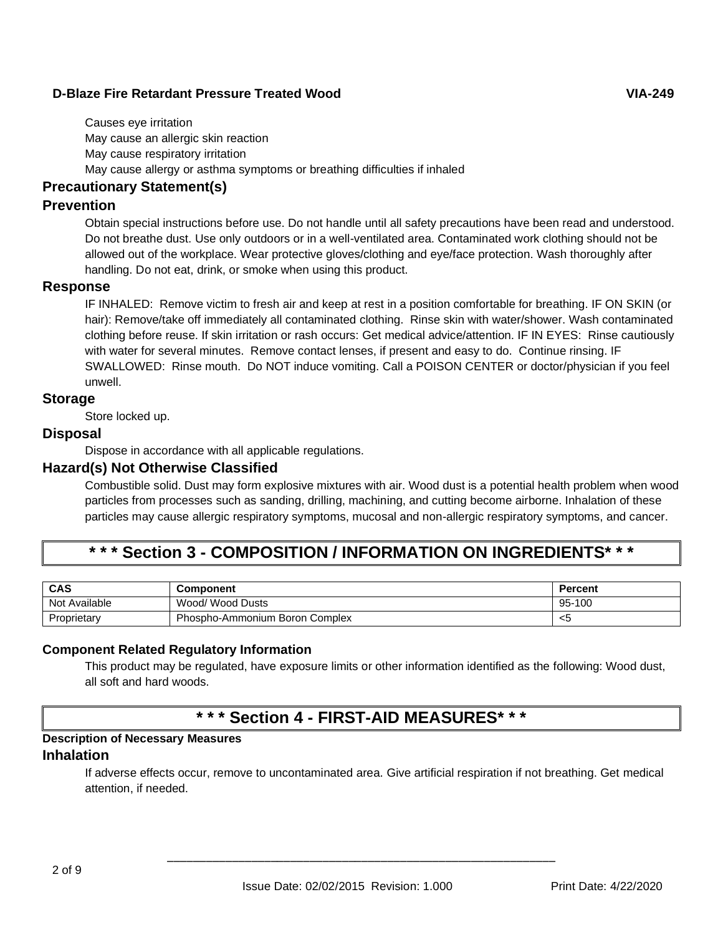Causes eye irritation May cause an allergic skin reaction May cause respiratory irritation May cause allergy or asthma symptoms or breathing difficulties if inhaled

## **Precautionary Statement(s)**

### **Prevention**

Obtain special instructions before use. Do not handle until all safety precautions have been read and understood. Do not breathe dust. Use only outdoors or in a well-ventilated area. Contaminated work clothing should not be allowed out of the workplace. Wear protective gloves/clothing and eye/face protection. Wash thoroughly after handling. Do not eat, drink, or smoke when using this product.

#### **Response**

IF INHALED: Remove victim to fresh air and keep at rest in a position comfortable for breathing. IF ON SKIN (or hair): Remove/take off immediately all contaminated clothing. Rinse skin with water/shower. Wash contaminated clothing before reuse. If skin irritation or rash occurs: Get medical advice/attention. IF IN EYES: Rinse cautiously with water for several minutes. Remove contact lenses, if present and easy to do. Continue rinsing. IF SWALLOWED: Rinse mouth. Do NOT induce vomiting. Call a POISON CENTER or doctor/physician if you feel unwell.

#### **Storage**

Store locked up.

## **Disposal**

Dispose in accordance with all applicable regulations.

## **Hazard(s) Not Otherwise Classified**

Combustible solid. Dust may form explosive mixtures with air. Wood dust is a potential health problem when wood particles from processes such as sanding, drilling, machining, and cutting become airborne. Inhalation of these particles may cause allergic respiratory symptoms, mucosal and non-allergic respiratory symptoms, and cancer.

# **\* \* \* Section 3 - COMPOSITION / INFORMATION ON INGREDIENTS\* \* \***

| <b>CAS</b>    | Component                      | Percent |
|---------------|--------------------------------|---------|
| Not Available | Wood/ Wood Dusts               | 95-100  |
| Proprietary   | Phospho-Ammonium Boron Complex | - <5    |

#### **Component Related Regulatory Information**

This product may be regulated, have exposure limits or other information identified as the following: Wood dust, all soft and hard woods.

# **\* \* \* Section 4 - FIRST-AID MEASURES\* \* \***

## **Description of Necessary Measures**

## **Inhalation**

If adverse effects occur, remove to uncontaminated area. Give artificial respiration if not breathing. Get medical attention, if needed.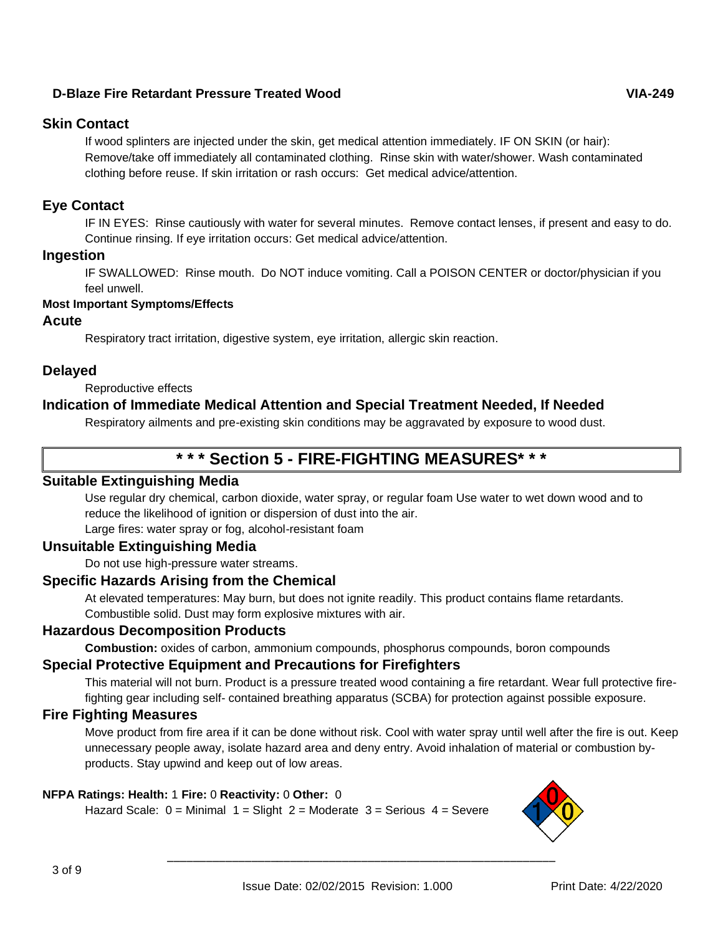## **Skin Contact**

If wood splinters are injected under the skin, get medical attention immediately. IF ON SKIN (or hair): Remove/take off immediately all contaminated clothing. Rinse skin with water/shower. Wash contaminated clothing before reuse. If skin irritation or rash occurs: Get medical advice/attention.

## **Eye Contact**

IF IN EYES: Rinse cautiously with water for several minutes. Remove contact lenses, if present and easy to do. Continue rinsing. If eye irritation occurs: Get medical advice/attention.

### **Ingestion**

IF SWALLOWED: Rinse mouth. Do NOT induce vomiting. Call a POISON CENTER or doctor/physician if you feel unwell.

#### **Most Important Symptoms/Effects**

#### **Acute**

Respiratory tract irritation, digestive system, eye irritation, allergic skin reaction.

## **Delayed**

Reproductive effects

## **Indication of Immediate Medical Attention and Special Treatment Needed, If Needed**

Respiratory ailments and pre-existing skin conditions may be aggravated by exposure to wood dust.

# **\* \* \* Section 5 - FIRE-FIGHTING MEASURES\* \* \***

#### **Suitable Extinguishing Media**

Use regular dry chemical, carbon dioxide, water spray, or regular foam Use water to wet down wood and to reduce the likelihood of ignition or dispersion of dust into the air.

Large fires: water spray or fog, alcohol-resistant foam

## **Unsuitable Extinguishing Media**

Do not use high-pressure water streams.

## **Specific Hazards Arising from the Chemical**

At elevated temperatures: May burn, but does not ignite readily. This product contains flame retardants. Combustible solid. Dust may form explosive mixtures with air.

## **Hazardous Decomposition Products**

**Combustion:** oxides of carbon, ammonium compounds, phosphorus compounds, boron compounds

## **Special Protective Equipment and Precautions for Firefighters**

This material will not burn. Product is a pressure treated wood containing a fire retardant. Wear full protective firefighting gear including self- contained breathing apparatus (SCBA) for protection against possible exposure.

#### **Fire Fighting Measures**

Move product from fire area if it can be done without risk. Cool with water spray until well after the fire is out. Keep unnecessary people away, isolate hazard area and deny entry. Avoid inhalation of material or combustion byproducts. Stay upwind and keep out of low areas.

#### **NFPA Ratings: Health:** 1 **Fire:** 0 **Reactivity:** 0 **Other:** 0

Hazard Scale:  $0 =$  Minimal  $1 =$  Slight  $2 =$  Moderate  $3 =$  Serious  $4 =$  Severe

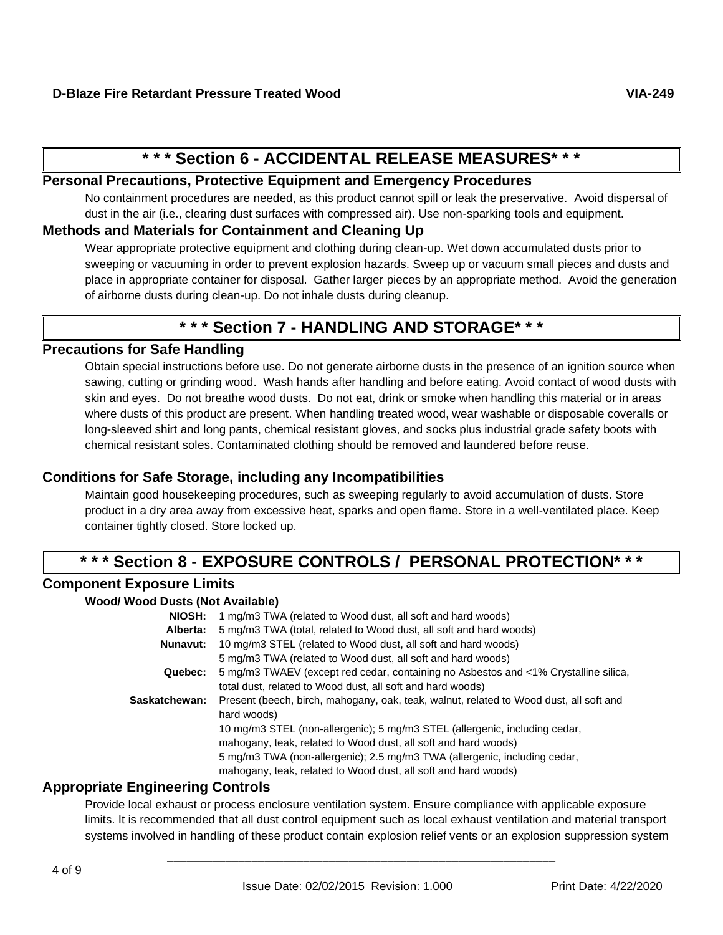# **\* \* \* Section 6 - ACCIDENTAL RELEASE MEASURES\* \* \***

## **Personal Precautions, Protective Equipment and Emergency Procedures**

No containment procedures are needed, as this product cannot spill or leak the preservative. Avoid dispersal of dust in the air (i.e., clearing dust surfaces with compressed air). Use non-sparking tools and equipment.

## **Methods and Materials for Containment and Cleaning Up**

Wear appropriate protective equipment and clothing during clean-up. Wet down accumulated dusts prior to sweeping or vacuuming in order to prevent explosion hazards. Sweep up or vacuum small pieces and dusts and place in appropriate container for disposal. Gather larger pieces by an appropriate method. Avoid the generation of airborne dusts during clean-up. Do not inhale dusts during cleanup.

# **\* \* \* Section 7 - HANDLING AND STORAGE\* \* \***

## **Precautions for Safe Handling**

Obtain special instructions before use. Do not generate airborne dusts in the presence of an ignition source when sawing, cutting or grinding wood. Wash hands after handling and before eating. Avoid contact of wood dusts with skin and eyes. Do not breathe wood dusts. Do not eat, drink or smoke when handling this material or in areas where dusts of this product are present. When handling treated wood, wear washable or disposable coveralls or long-sleeved shirt and long pants, chemical resistant gloves, and socks plus industrial grade safety boots with chemical resistant soles. Contaminated clothing should be removed and laundered before reuse.

## **Conditions for Safe Storage, including any Incompatibilities**

Maintain good housekeeping procedures, such as sweeping regularly to avoid accumulation of dusts. Store product in a dry area away from excessive heat, sparks and open flame. Store in a well-ventilated place. Keep container tightly closed. Store locked up.

# **\* \* \* Section 8 - EXPOSURE CONTROLS / PERSONAL PROTECTION\* \* \***

## **Component Exposure Limits**

#### **Wood/ Wood Dusts (Not Available)**

| NIOSH:        | 1 mg/m3 TWA (related to Wood dust, all soft and hard woods)                            |
|---------------|----------------------------------------------------------------------------------------|
| Alberta:      | 5 mg/m3 TWA (total, related to Wood dust, all soft and hard woods)                     |
| Nunavut:      | 10 mg/m3 STEL (related to Wood dust, all soft and hard woods)                          |
|               | 5 mg/m3 TWA (related to Wood dust, all soft and hard woods)                            |
| Quebec:       | 5 mg/m3 TWAEV (except red cedar, containing no Asbestos and <1% Crystalline silica,    |
|               | total dust, related to Wood dust, all soft and hard woods)                             |
| Saskatchewan: | Present (beech, birch, mahogany, oak, teak, walnut, related to Wood dust, all soft and |
|               | hard woods)                                                                            |
|               | 10 mg/m3 STEL (non-allergenic); 5 mg/m3 STEL (allergenic, including cedar,             |
|               | mahogany, teak, related to Wood dust, all soft and hard woods)                         |
|               | 5 mg/m3 TWA (non-allergenic); 2.5 mg/m3 TWA (allergenic, including cedar,              |
|               | mahogany, teak, related to Wood dust, all soft and hard woods)                         |

## **Appropriate Engineering Controls**

Provide local exhaust or process enclosure ventilation system. Ensure compliance with applicable exposure limits. It is recommended that all dust control equipment such as local exhaust ventilation and material transport systems involved in handling of these product contain explosion relief vents or an explosion suppression system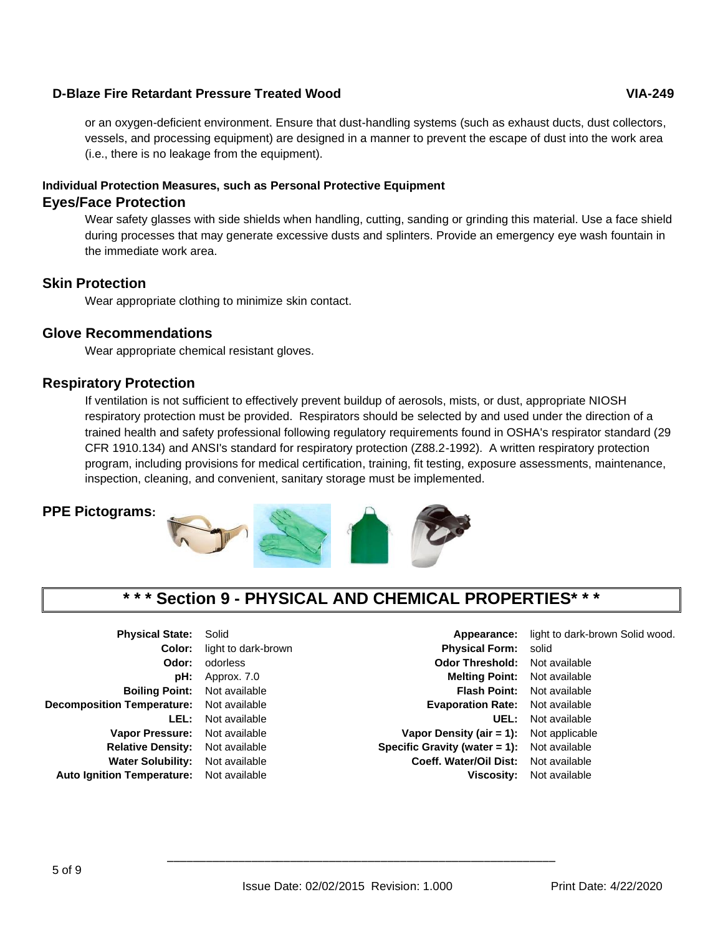or an oxygen-deficient environment. Ensure that dust-handling systems (such as exhaust ducts, dust collectors, vessels, and processing equipment) are designed in a manner to prevent the escape of dust into the work area (i.e., there is no leakage from the equipment).

## **Individual Protection Measures, such as Personal Protective Equipment**

### **Eyes/Face Protection**

Wear safety glasses with side shields when handling, cutting, sanding or grinding this material. Use a face shield during processes that may generate excessive dusts and splinters. Provide an emergency eye wash fountain in the immediate work area.

## **Skin Protection**

Wear appropriate clothing to minimize skin contact.

## **Glove Recommendations**

Wear appropriate chemical resistant gloves.

## **Respiratory Protection**

If ventilation is not sufficient to effectively prevent buildup of aerosols, mists, or dust, appropriate NIOSH respiratory protection must be provided. Respirators should be selected by and used under the direction of a trained health and safety professional following regulatory requirements found in OSHA's respirator standard (29 CFR 1910.134) and ANSI's standard for respiratory protection (Z88.2-1992). A written respiratory protection program, including provisions for medical certification, training, fit testing, exposure assessments, maintenance, inspection, cleaning, and convenient, sanitary storage must be implemented.

## **PPE Pictograms:**



# **\* \* \* Section 9 - PHYSICAL AND CHEMICAL PROPERTIES\* \* \***

| <b>Physical State:</b>            | Solid              |  |  |  |
|-----------------------------------|--------------------|--|--|--|
| Color:                            | light to dark-brow |  |  |  |
| Odor:                             | odorless           |  |  |  |
| pH:                               | Approx. 7.0        |  |  |  |
| <b>Boiling Point:</b>             | Not available      |  |  |  |
| <b>Decomposition Temperature:</b> | Not available      |  |  |  |
| LEL:                              | Not available      |  |  |  |
| <b>Vapor Pressure:</b>            | Not available      |  |  |  |
| <b>Relative Density:</b>          | Not available      |  |  |  |
| <b>Water Solubility:</b>          | Not available      |  |  |  |
| <b>Auto Ignition Temperature:</b> | Not available      |  |  |  |

**Coloring to dark-brown in the Physical Form:** solid **Odor Threshold:** Not available **Evaporation Rate:** Not available **Vapor Density (air = 1):** Not applicable **Specific Gravity (water = 1):** Not available **Coeff. Water/Oil Dist:** Not available

Appearance: light to dark-brown Solid wood. **Melting Point:** Not available **Flash Point:** Not available **UEL:** Not available **Viscosity:** Not available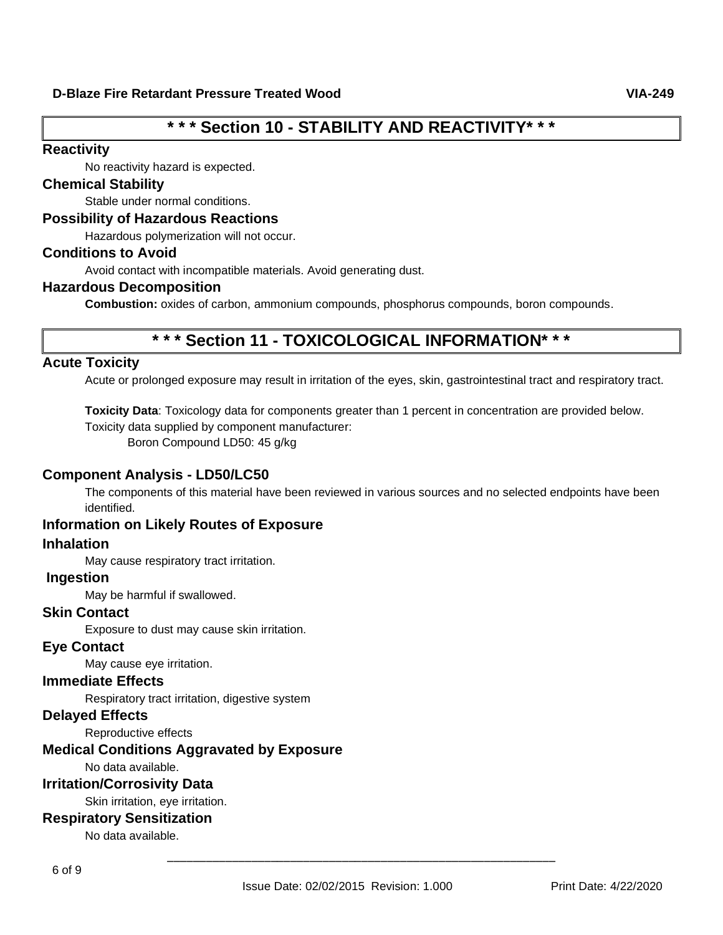# **\* \* \* Section 10 - STABILITY AND REACTIVITY\* \* \***

#### **Reactivity**

No reactivity hazard is expected.

## **Chemical Stability**

Stable under normal conditions.

#### **Possibility of Hazardous Reactions**

Hazardous polymerization will not occur.

### **Conditions to Avoid**

Avoid contact with incompatible materials. Avoid generating dust.

#### **Hazardous Decomposition**

**Combustion:** oxides of carbon, ammonium compounds, phosphorus compounds, boron compounds.

# **\* \* \* Section 11 - TOXICOLOGICAL INFORMATION\* \* \***

## **Acute Toxicity**

Acute or prolonged exposure may result in irritation of the eyes, skin, gastrointestinal tract and respiratory tract.

**Toxicity Data**: Toxicology data for components greater than 1 percent in concentration are provided below.

Toxicity data supplied by component manufacturer:

Boron Compound LD50: 45 g/kg

## **Component Analysis - LD50/LC50**

The components of this material have been reviewed in various sources and no selected endpoints have been identified.

## **Information on Likely Routes of Exposure**

## **Inhalation**

May cause respiratory tract irritation.

### **Ingestion**

May be harmful if swallowed.

#### **Skin Contact**

Exposure to dust may cause skin irritation.

#### **Eye Contact**

May cause eye irritation.

### **Immediate Effects**

Respiratory tract irritation, digestive system

## **Delayed Effects**

Reproductive effects

## **Medical Conditions Aggravated by Exposure**

No data available.

#### **Irritation/Corrosivity Data**

Skin irritation, eye irritation.

## **Respiratory Sensitization**

No data available.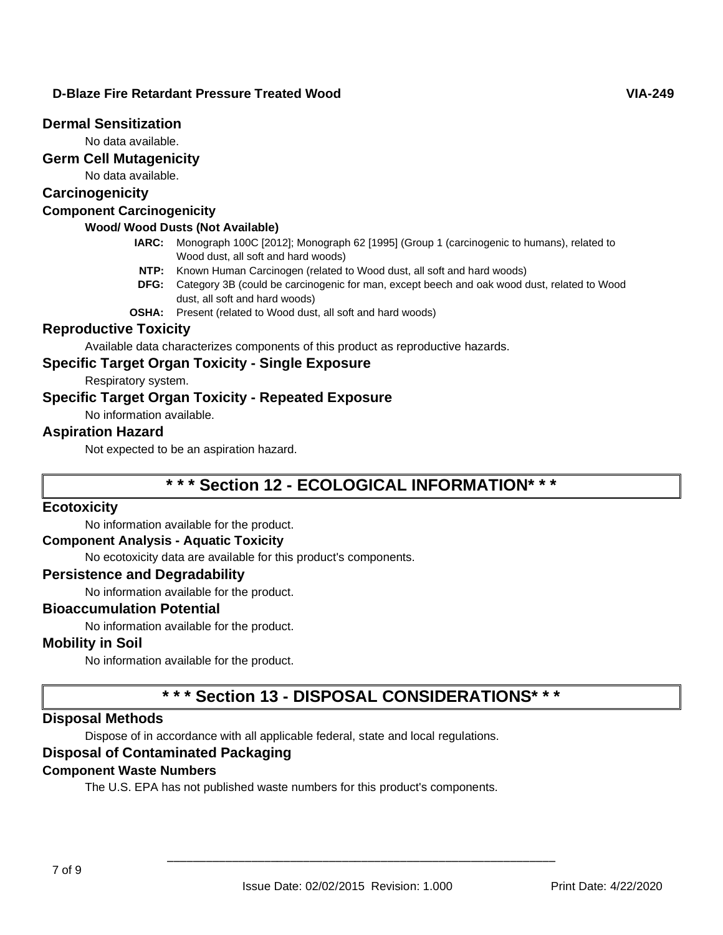### **Dermal Sensitization**

No data available.

## **Germ Cell Mutagenicity**

No data available.

## **Carcinogenicity**

## **Component Carcinogenicity**

## **Wood/ Wood Dusts (Not Available)**

- **IARC:** Monograph 100C [2012]; Monograph 62 [1995] (Group 1 (carcinogenic to humans), related to Wood dust, all soft and hard woods)
- **NTP:** Known Human Carcinogen (related to Wood dust, all soft and hard woods)
- **DFG:** Category 3B (could be carcinogenic for man, except beech and oak wood dust, related to Wood dust, all soft and hard woods)
- **OSHA:** Present (related to Wood dust, all soft and hard woods)

### **Reproductive Toxicity**

Available data characterizes components of this product as reproductive hazards.

## **Specific Target Organ Toxicity - Single Exposure**

Respiratory system.

## **Specific Target Organ Toxicity - Repeated Exposure**

No information available.

### **Aspiration Hazard**

Not expected to be an aspiration hazard.

# **\* \* \* Section 12 - ECOLOGICAL INFORMATION\* \* \***

#### **Ecotoxicity**

No information available for the product.

#### **Component Analysis - Aquatic Toxicity**

No ecotoxicity data are available for this product's components.

#### **Persistence and Degradability**

No information available for the product.

#### **Bioaccumulation Potential**

No information available for the product.

#### **Mobility in Soil**

No information available for the product.

# **\* \* \* Section 13 - DISPOSAL CONSIDERATIONS\* \* \***

#### **Disposal Methods**

Dispose of in accordance with all applicable federal, state and local regulations.

### **Disposal of Contaminated Packaging**

#### **Component Waste Numbers**

The U.S. EPA has not published waste numbers for this product's components.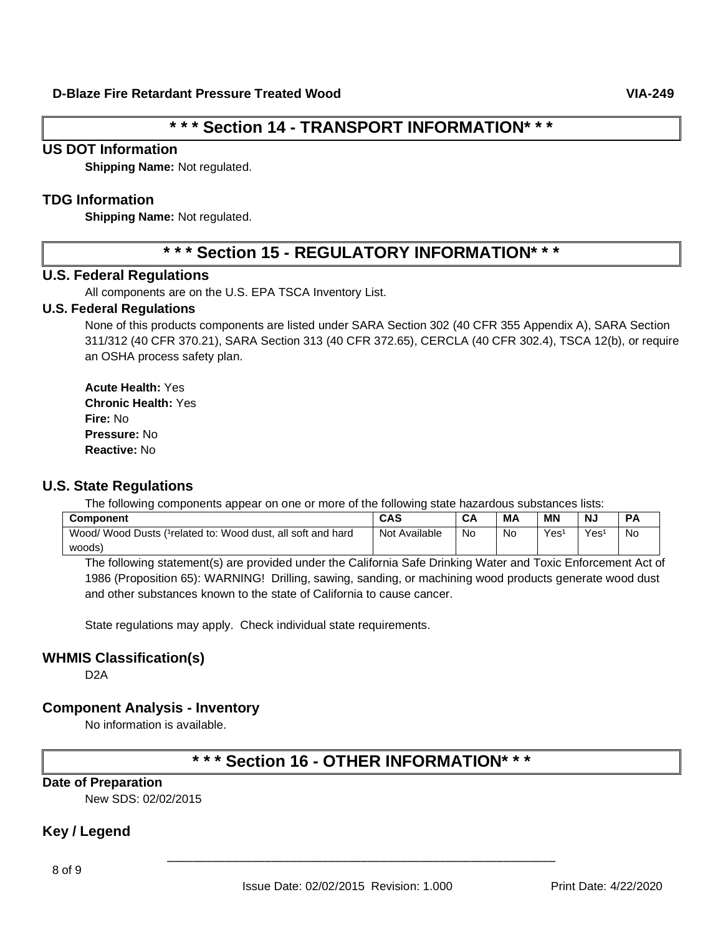# **\* \* \* Section 14 - TRANSPORT INFORMATION\* \* \***

#### **US DOT Information**

**Shipping Name:** Not regulated.

### **TDG Information**

**Shipping Name:** Not regulated.

# **\* \* \* Section 15 - REGULATORY INFORMATION\* \* \***

#### **U.S. Federal Regulations**

All components are on the U.S. EPA TSCA Inventory List.

#### **U.S. Federal Regulations**

None of this products components are listed under SARA Section 302 (40 CFR 355 Appendix A), SARA Section 311/312 (40 CFR 370.21), SARA Section 313 (40 CFR 372.65), CERCLA (40 CFR 302.4), TSCA 12(b), or require an OSHA process safety plan.

**Acute Health:** Yes **Chronic Health:** Yes **Fire:** No **Pressure:** No **Reactive:** No

#### **U.S. State Regulations**

The following components appear on one or more of the following state hazardous substances lists:

| <b>Component</b>                                             | <b>CAS</b>    | CA | MА | <b>MN</b> | <b>NJ</b> |           |
|--------------------------------------------------------------|---------------|----|----|-----------|-----------|-----------|
| Wood/ Wood Dusts (1 related to: Wood dust, all soft and hard | Not Available | No | No | Yes       | Yes       | <b>No</b> |
| woods)                                                       |               |    |    |           |           |           |

The following statement(s) are provided under the California Safe Drinking Water and Toxic Enforcement Act of 1986 (Proposition 65): WARNING! Drilling, sawing, sanding, or machining wood products generate wood dust and other substances known to the state of California to cause cancer.

State regulations may apply. Check individual state requirements.

#### **WHMIS Classification(s)**

D2A

#### **Component Analysis - Inventory**

No information is available.

# **\* \* \* Section 16 - OTHER INFORMATION\* \* \***

#### **Date of Preparation**

New SDS: 02/02/2015

## **Key / Legend**